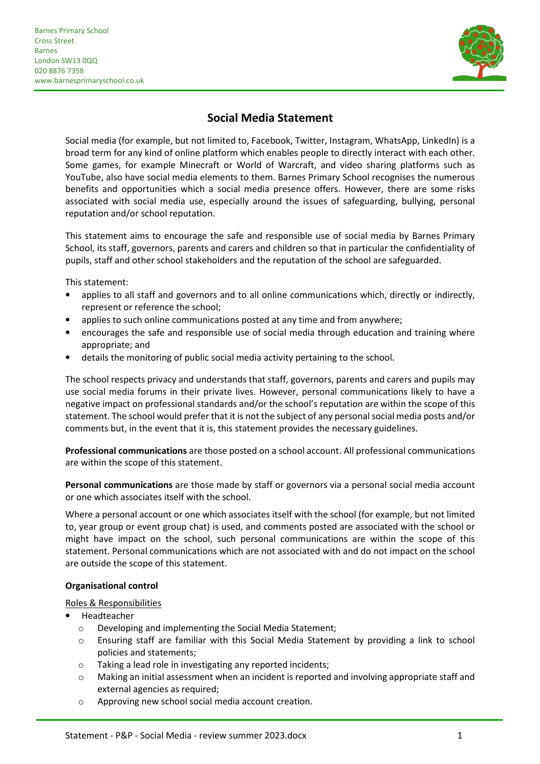j



# **Social Media Statement**

Social media (for example, but not limited to, Facebook, Twitter, Instagram, WhatsApp, LinkedIn) is a broad term for any kind of online platform which enables people to directly interact with each other. Some games, for example Minecraft or World of Warcraft, and video sharing platforms such as YouTube, also have social media elements to them. Barnes Primary School recognises the numerous benefits and opportunities which a social media presence offers. However, there are some risks associated with social media use, especially around the issues of safeguarding, bullying, personal reputation and/or school reputation.

This statement aims to encourage the safe and responsible use of social media by Barnes Primary School, its staff, governors, parents and carers and children so that in particular the confidentiality of pupils, staff and other school stakeholders and the reputation of the school are safeguarded.

This statement:

- applies to all staff and governors and to all online communications which, directly or indirectly, represent or reference the school;
- applies to such online communications posted at any time and from anywhere;
- encourages the safe and responsible use of social media through education and training where appropriate; and
- details the monitoring of public social media activity pertaining to the school.

The school respects privacy and understands that staff, governors, parents and carers and pupils may use social media forums in their private lives. However, personal communications likely to have a negative impact on professional standards and/or the school's reputation are within the scope of this statement. The school would prefer that it is not the subject of any personal social media posts and/or comments but, in the event that it is, this statement provides the necessary guidelines.

**Professional communications** are those posted on a school account. All professional communications are within the scope of this statement.

**Personal communications** are those made by staff or governors via a personal social media account or one which associates itself with the school.

Where a personal account or one which associates itself with the school (for example, but not limited to, year group or event group chat) is used, and comments posted are associated with the school or might have impact on the school, such personal communications are within the scope of this statement. Personal communications which are not associated with and do not impact on the school are outside the scope of this statement.

### **Organisational control**

Roles & Responsibilities

- Headteacher
	- o Developing and implementing the Social Media Statement;
	- o Ensuring staff are familiar with this Social Media Statement by providing a link to school policies and statements;
	- o Taking a lead role in investigating any reported incidents;
	- o Making an initial assessment when an incident is reported and involving appropriate staff and external agencies as required;
	- o Approving new school social media account creation.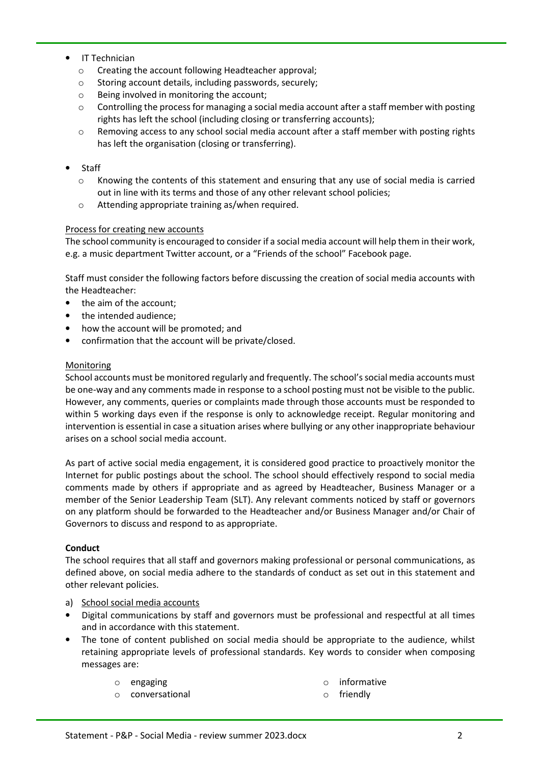- IT Technician
	- o Creating the account following Headteacher approval;
	- o Storing account details, including passwords, securely;
	- o Being involved in monitoring the account;
	- $\circ$  Controlling the process for managing a social media account after a staff member with posting rights has left the school (including closing or transferring accounts);
	- o Removing access to any school social media account after a staff member with posting rights has left the organisation (closing or transferring).
- Staff
	- o Knowing the contents of this statement and ensuring that any use of social media is carried out in line with its terms and those of any other relevant school policies;
	- o Attending appropriate training as/when required.

# Process for creating new accounts

The school community is encouraged to consider if a social media account will help them in their work, e.g. a music department Twitter account, or a "Friends of the school" Facebook page.

Staff must consider the following factors before discussing the creation of social media accounts with the Headteacher:

- the aim of the account;
- the intended audience:
- how the account will be promoted; and
- confirmation that the account will be private/closed.

# Monitoring

School accounts must be monitored regularly and frequently. The school's social media accounts must be one-way and any comments made in response to a school posting must not be visible to the public. However, any comments, queries or complaints made through those accounts must be responded to within 5 working days even if the response is only to acknowledge receipt. Regular monitoring and intervention is essential in case a situation arises where bullying or any other inappropriate behaviour arises on a school social media account.

As part of active social media engagement, it is considered good practice to proactively monitor the Internet for public postings about the school. The school should effectively respond to social media comments made by others if appropriate and as agreed by Headteacher, Business Manager or a member of the Senior Leadership Team (SLT). Any relevant comments noticed by staff or governors on any platform should be forwarded to the Headteacher and/or Business Manager and/or Chair of Governors to discuss and respond to as appropriate.

### **Conduct**

The school requires that all staff and governors making professional or personal communications, as defined above, on social media adhere to the standards of conduct as set out in this statement and other relevant policies.

### a) School social media accounts

- Digital communications by staff and governors must be professional and respectful at all times and in accordance with this statement.
- The tone of content published on social media should be appropriate to the audience, whilst retaining appropriate levels of professional standards. Key words to consider when composing messages are:
	- o engaging
	- o conversational
- o informative
- o friendly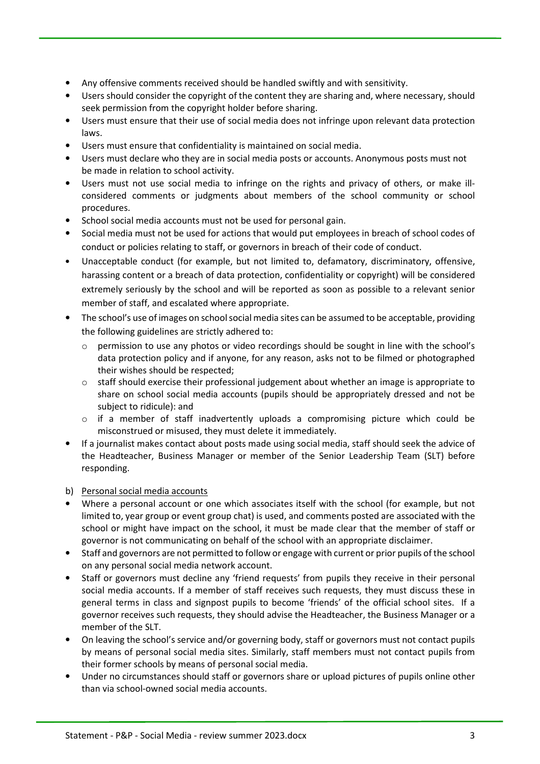- Any offensive comments received should be handled swiftly and with sensitivity.
- Users should consider the copyright of the content they are sharing and, where necessary, should seek permission from the copyright holder before sharing.
- Users must ensure that their use of social media does not infringe upon relevant data protection laws.
- Users must ensure that confidentiality is maintained on social media.
- Users must declare who they are in social media posts or accounts. Anonymous posts must not be made in relation to school activity.
- Users must not use social media to infringe on the rights and privacy of others, or make illconsidered comments or judgments about members of the school community or school procedures.
- School social media accounts must not be used for personal gain.
- Social media must not be used for actions that would put employees in breach of school codes of conduct or policies relating to staff, or governors in breach of their code of conduct.
- Unacceptable conduct (for example, but not limited to, defamatory, discriminatory, offensive, harassing content or a breach of data protection, confidentiality or copyright) will be considered extremely seriously by the school and will be reported as soon as possible to a relevant senior member of staff, and escalated where appropriate.
- The school's use of images on school social media sites can be assumed to be acceptable, providing the following guidelines are strictly adhered to:
	- o permission to use any photos or video recordings should be sought in line with the school's data protection policy and if anyone, for any reason, asks not to be filmed or photographed their wishes should be respected;
	- $\circ$  staff should exercise their professional judgement about whether an image is appropriate to share on school social media accounts (pupils should be appropriately dressed and not be subject to ridicule): and
	- $\circ$  if a member of staff inadvertently uploads a compromising picture which could be misconstrued or misused, they must delete it immediately.
- If a journalist makes contact about posts made using social media, staff should seek the advice of the Headteacher, Business Manager or member of the Senior Leadership Team (SLT) before responding.
- b) Personal social media accounts
- Where a personal account or one which associates itself with the school (for example, but not limited to, year group or event group chat) is used, and comments posted are associated with the school or might have impact on the school, it must be made clear that the member of staff or governor is not communicating on behalf of the school with an appropriate disclaimer.
- Staff and governors are not permitted to follow or engage with current or prior pupils of the school on any personal social media network account.
- Staff or governors must decline any 'friend requests' from pupils they receive in their personal social media accounts. If a member of staff receives such requests, they must discuss these in general terms in class and signpost pupils to become 'friends' of the official school sites. If a governor receives such requests, they should advise the Headteacher, the Business Manager or a member of the SLT.
- On leaving the school's service and/or governing body, staff or governors must not contact pupils by means of personal social media sites. Similarly, staff members must not contact pupils from their former schools by means of personal social media.
- Under no circumstances should staff or governors share or upload pictures of pupils online other than via school-owned social media accounts.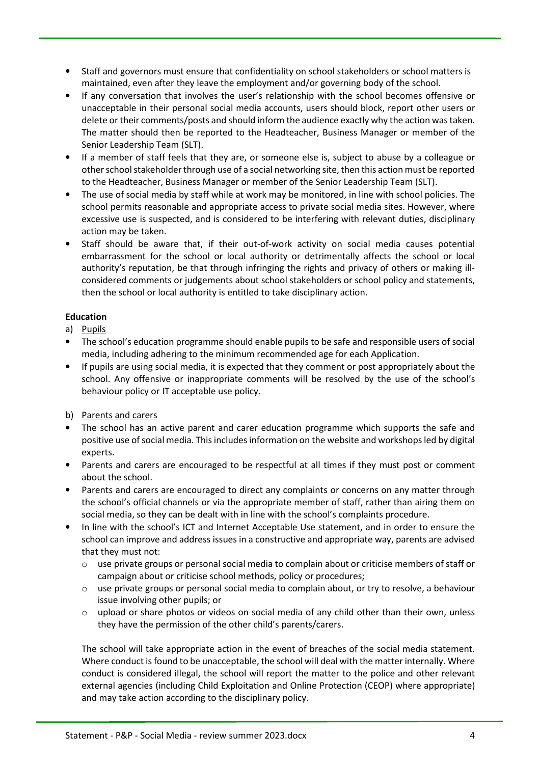- Staff and governors must ensure that confidentiality on school stakeholders or school matters is maintained, even after they leave the employment and/or governing body of the school.
- If any conversation that involves the user's relationship with the school becomes offensive or unacceptable in their personal social media accounts, users should block, report other users or delete or their comments/posts and should inform the audience exactly why the action was taken. The matter should then be reported to the Headteacher, Business Manager or member of the Senior Leadership Team (SLT).
- If a member of staff feels that they are, or someone else is, subject to abuse by a colleague or other school stakeholder through use of a social networking site, then this action must be reported to the Headteacher, Business Manager or member of the Senior Leadership Team (SLT).
- The use of social media by staff while at work may be monitored, in line with school policies. The school permits reasonable and appropriate access to private social media sites. However, where excessive use is suspected, and is considered to be interfering with relevant duties, disciplinary action may be taken.
- Staff should be aware that, if their out-of-work activity on social media causes potential embarrassment for the school or local authority or detrimentally affects the school or local authority's reputation, be that through infringing the rights and privacy of others or making illconsidered comments or judgements about school stakeholders or school policy and statements, then the school or local authority is entitled to take disciplinary action.

# **Education**

- a) Pupils
- The school's education programme should enable pupils to be safe and responsible users of social media, including adhering to the minimum recommended age for each Application.
- If pupils are using social media, it is expected that they comment or post appropriately about the school. Any offensive or inappropriate comments will be resolved by the use of the school's behaviour policy or IT acceptable use policy.
- b) Parents and carers
- The school has an active parent and carer education programme which supports the safe and positive use of social media. This includes information on the website and workshops led by digital experts.
- Parents and carers are encouraged to be respectful at all times if they must post or comment about the school.
- Parents and carers are encouraged to direct any complaints or concerns on any matter through the school's official channels or via the appropriate member of staff, rather than airing them on social media, so they can be dealt with in line with the school's complaints procedure.
- In line with the school's ICT and Internet Acceptable Use statement, and in order to ensure the school can improve and address issues in a constructive and appropriate way, parents are advised that they must not:
	- $\circ$  use private groups or personal social media to complain about or criticise members of staff or campaign about or criticise school methods, policy or procedures;
	- $\circ$  use private groups or personal social media to complain about, or try to resolve, a behaviour issue involving other pupils; or
	- $\circ$  upload or share photos or videos on social media of any child other than their own, unless they have the permission of the other child's parents/carers.

The school will take appropriate action in the event of breaches of the social media statement. Where conduct is found to be unacceptable, the school will deal with the matter internally. Where conduct is considered illegal, the school will report the matter to the police and other relevant external agencies (including Child Exploitation and Online Protection (CEOP) where appropriate) and may take action according to the disciplinary policy.